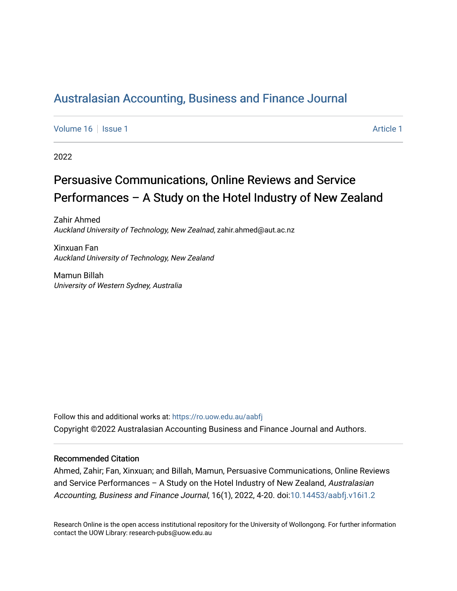# [Australasian Accounting, Business and Finance Journal](https://ro.uow.edu.au/aabfj)

[Volume 16](https://ro.uow.edu.au/aabfj/vol16) | [Issue 1](https://ro.uow.edu.au/aabfj/vol16/iss1) Article 1

2022

# Persuasive Communications, Online Reviews and Service Performances – A Study on the Hotel Industry of New Zealand

Zahir Ahmed Auckland University of Technology, New Zealnad, zahir.ahmed@aut.ac.nz

Xinxuan Fan Auckland University of Technology, New Zealand

Mamun Billah University of Western Sydney, Australia

Follow this and additional works at: [https://ro.uow.edu.au/aabfj](https://ro.uow.edu.au/aabfj?utm_source=ro.uow.edu.au%2Faabfj%2Fvol16%2Fiss1%2F1&utm_medium=PDF&utm_campaign=PDFCoverPages) Copyright ©2022 Australasian Accounting Business and Finance Journal and Authors.

#### Recommended Citation

Ahmed, Zahir; Fan, Xinxuan; and Billah, Mamun, Persuasive Communications, Online Reviews and Service Performances – A Study on the Hotel Industry of New Zealand, Australasian Accounting, Business and Finance Journal, 16(1), 2022, 4-20. doi[:10.14453/aabfj.v16i1.2](http://dx.doi.org/10.14453/aabfj.v16i1.2) 

Research Online is the open access institutional repository for the University of Wollongong. For further information contact the UOW Library: research-pubs@uow.edu.au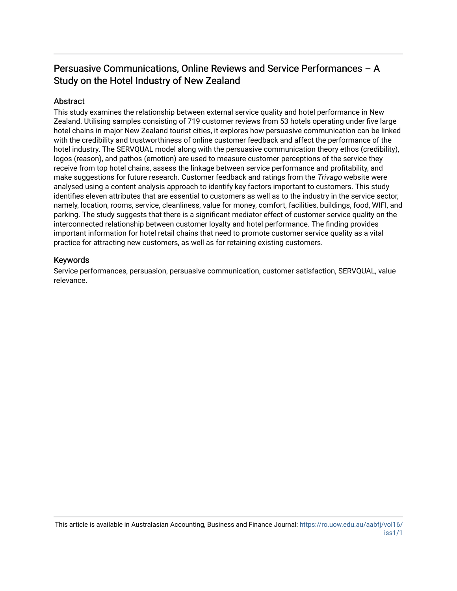# Persuasive Communications, Online Reviews and Service Performances – A Study on the Hotel Industry of New Zealand

# **Abstract**

This study examines the relationship between external service quality and hotel performance in New Zealand. Utilising samples consisting of 719 customer reviews from 53 hotels operating under five large hotel chains in major New Zealand tourist cities, it explores how persuasive communication can be linked with the credibility and trustworthiness of online customer feedback and affect the performance of the hotel industry. The SERVQUAL model along with the persuasive communication theory ethos (credibility), logos (reason), and pathos (emotion) are used to measure customer perceptions of the service they receive from top hotel chains, assess the linkage between service performance and profitability, and make suggestions for future research. Customer feedback and ratings from the *Trivago* website were analysed using a content analysis approach to identify key factors important to customers. This study identifies eleven attributes that are essential to customers as well as to the industry in the service sector, namely, location, rooms, service, cleanliness, value for money, comfort, facilities, buildings, food, WIFI, and parking. The study suggests that there is a significant mediator effect of customer service quality on the interconnected relationship between customer loyalty and hotel performance. The finding provides important information for hotel retail chains that need to promote customer service quality as a vital practice for attracting new customers, as well as for retaining existing customers.

#### Keywords

Service performances, persuasion, persuasive communication, customer satisfaction, SERVQUAL, value relevance.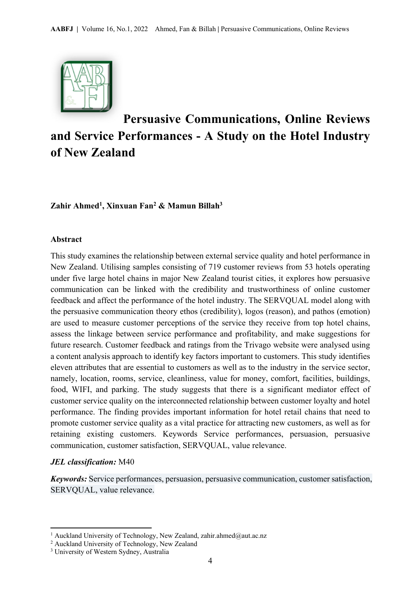

# **Persuasive Communications, Online Reviews and Service Performances - A Study on the Hotel Industry of New Zealand**

# **Zahir Ahmed1, Xinxuan Fan2 & Mamun Billah3**

#### **Abstract**

This study examines the relationship between external service quality and hotel performance in New Zealand. Utilising samples consisting of 719 customer reviews from 53 hotels operating under five large hotel chains in major New Zealand tourist cities, it explores how persuasive communication can be linked with the credibility and trustworthiness of online customer feedback and affect the performance of the hotel industry. The SERVQUAL model along with the persuasive communication theory ethos (credibility), logos (reason), and pathos (emotion) are used to measure customer perceptions of the service they receive from top hotel chains, assess the linkage between service performance and profitability, and make suggestions for future research. Customer feedback and ratings from the Trivago website were analysed using a content analysis approach to identify key factors important to customers. This study identifies eleven attributes that are essential to customers as well as to the industry in the service sector, namely, location, rooms, service, cleanliness, value for money, comfort, facilities, buildings, food, WIFI, and parking. The study suggests that there is a significant mediator effect of customer service quality on the interconnected relationship between customer loyalty and hotel performance. The finding provides important information for hotel retail chains that need to promote customer service quality as a vital practice for attracting new customers, as well as for retaining existing customers. Keywords Service performances, persuasion, persuasive communication, customer satisfaction, SERVQUAL, value relevance.

### *JEL classification:* M40

*Keywords:* Service performances, persuasion, persuasive communication, customer satisfaction, SERVQUAL, value relevance.

<sup>&</sup>lt;sup>1</sup> Auckland University of Technology, New Zealand, zahir.ahmed@aut.ac.nz

<sup>&</sup>lt;sup>2</sup> Auckland University of Technology, New Zealand

<sup>&</sup>lt;sup>3</sup> University of Western Sydney, Australia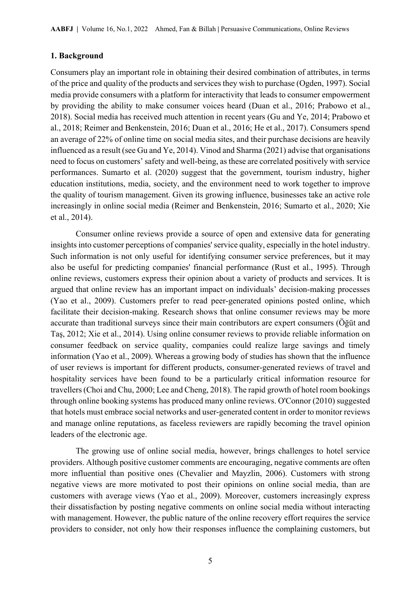# **1. Background**

Consumers play an important role in obtaining their desired combination of attributes, in terms of the price and quality of the products and services they wish to purchase (Ogden, 1997). Social media provide consumers with a platform for interactivity that leads to consumer empowerment by providing the ability to make consumer voices heard (Duan et al., 2016; Prabowo et al., 2018). Social media has received much attention in recent years (Gu and Ye, 2014; Prabowo et al., 2018; Reimer and Benkenstein, 2016; Duan et al., 2016; He et al., 2017). Consumers spend an average of 22% of online time on social media sites, and their purchase decisions are heavily influenced as a result (see Gu and Ye, 2014). Vinod and Sharma (2021) advise that organisations need to focus on customers' safety and well-being, as these are correlated positively with service performances. Sumarto et al. (2020) suggest that the government, tourism industry, higher education institutions, media, society, and the environment need to work together to improve the quality of tourism management. Given its growing influence, businesses take an active role increasingly in online social media (Reimer and Benkenstein, 2016; Sumarto et al., 2020; Xie et al., 2014).

Consumer online reviews provide a source of open and extensive data for generating insights into customer perceptions of companies' service quality, especially in the hotel industry. Such information is not only useful for identifying consumer service preferences, but it may also be useful for predicting companies' financial performance (Rust et al., 1995). Through online reviews, customers express their opinion about a variety of products and services. It is argued that online review has an important impact on individuals' decision-making processes (Yao et al., 2009). Customers prefer to read peer-generated opinions posted online, which facilitate their decision-making. Research shows that online consumer reviews may be more accurate than traditional surveys since their main contributors are expert consumers (Öğüt and Taş, 2012; Xie et al., 2014). Using online consumer reviews to provide reliable information on consumer feedback on service quality, companies could realize large savings and timely information (Yao et al., 2009). Whereas a growing body of studies has shown that the influence of user reviews is important for different products, consumer-generated reviews of travel and hospitality services have been found to be a particularly critical information resource for travellers (Choi and Chu, 2000; Lee and Cheng, 2018). The rapid growth of hotel room bookings through online booking systems has produced many online reviews. O'Connor (2010) suggested that hotels must embrace social networks and user-generated content in order to monitor reviews and manage online reputations, as faceless reviewers are rapidly becoming the travel opinion leaders of the electronic age.

The growing use of online social media, however, brings challenges to hotel service providers. Although positive customer comments are encouraging, negative comments are often more influential than positive ones (Chevalier and Mayzlin, 2006). Customers with strong negative views are more motivated to post their opinions on online social media, than are customers with average views (Yao et al., 2009). Moreover, customers increasingly express their dissatisfaction by posting negative comments on online social media without interacting with management. However, the public nature of the online recovery effort requires the service providers to consider, not only how their responses influence the complaining customers, but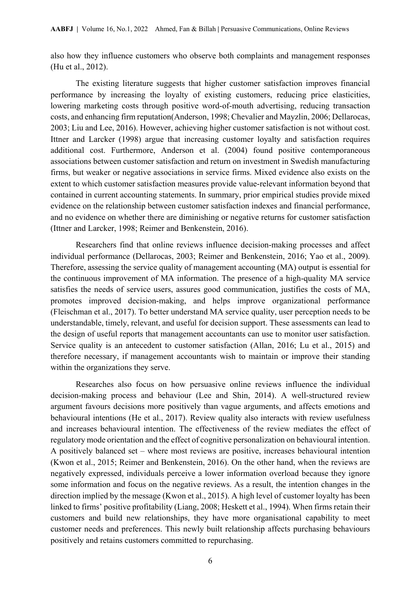also how they influence customers who observe both complaints and management responses (Hu et al., 2012).

The existing literature suggests that higher customer satisfaction improves financial performance by increasing the loyalty of existing customers, reducing price elasticities, lowering marketing costs through positive word-of-mouth advertising, reducing transaction costs, and enhancing firm reputation(Anderson, 1998; Chevalier and Mayzlin, 2006; Dellarocas, 2003; Liu and Lee, 2016). However, achieving higher customer satisfaction is not without cost. Ittner and Larcker (1998) argue that increasing customer loyalty and satisfaction requires additional cost. Furthermore, Anderson et al. (2004) found positive contemporaneous associations between customer satisfaction and return on investment in Swedish manufacturing firms, but weaker or negative associations in service firms. Mixed evidence also exists on the extent to which customer satisfaction measures provide value-relevant information beyond that contained in current accounting statements. In summary, prior empirical studies provide mixed evidence on the relationship between customer satisfaction indexes and financial performance, and no evidence on whether there are diminishing or negative returns for customer satisfaction (Ittner and Larcker, 1998; Reimer and Benkenstein, 2016).

Researchers find that online reviews influence decision-making processes and affect individual performance (Dellarocas, 2003; Reimer and Benkenstein, 2016; Yao et al., 2009). Therefore, assessing the service quality of management accounting (MA) output is essential for the continuous improvement of MA information. The presence of a high-quality MA service satisfies the needs of service users, assures good communication, justifies the costs of MA, promotes improved decision-making, and helps improve organizational performance (Fleischman et al., 2017). To better understand MA service quality, user perception needs to be understandable, timely, relevant, and useful for decision support. These assessments can lead to the design of useful reports that management accountants can use to monitor user satisfaction. Service quality is an antecedent to customer satisfaction (Allan, 2016; Lu et al., 2015) and therefore necessary, if management accountants wish to maintain or improve their standing within the organizations they serve.

Researches also focus on how persuasive online reviews influence the individual decision-making process and behaviour (Lee and Shin, 2014). A well-structured review argument favours decisions more positively than vague arguments, and affects emotions and behavioural intentions (He et al., 2017). Review quality also interacts with review usefulness and increases behavioural intention. The effectiveness of the review mediates the effect of regulatory mode orientation and the effect of cognitive personalization on behavioural intention. A positively balanced set – where most reviews are positive, increases behavioural intention (Kwon et al., 2015; Reimer and Benkenstein, 2016). On the other hand, when the reviews are negatively expressed, individuals perceive a lower information overload because they ignore some information and focus on the negative reviews. As a result, the intention changes in the direction implied by the message (Kwon et al., 2015). A high level of customer loyalty has been linked to firms' positive profitability (Liang, 2008; Heskett et al., 1994). When firms retain their customers and build new relationships, they have more organisational capability to meet customer needs and preferences. This newly built relationship affects purchasing behaviours positively and retains customers committed to repurchasing.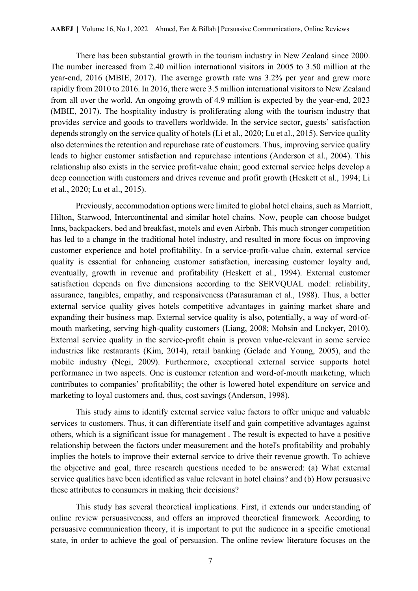There has been substantial growth in the tourism industry in New Zealand since 2000. The number increased from 2.40 million international visitors in 2005 to 3.50 million at the year-end, 2016 (MBIE, 2017). The average growth rate was 3.2% per year and grew more rapidly from 2010 to 2016. In 2016, there were 3.5 million international visitors to New Zealand from all over the world. An ongoing growth of 4.9 million is expected by the year-end, 2023 (MBIE, 2017). The hospitality industry is proliferating along with the tourism industry that provides service and goods to travellers worldwide. In the service sector, guests' satisfaction depends strongly on the service quality of hotels (Li et al., 2020; Lu et al., 2015). Service quality also determines the retention and repurchase rate of customers. Thus, improving service quality leads to higher customer satisfaction and repurchase intentions (Anderson et al., 2004). This relationship also exists in the service profit-value chain; good external service helps develop a deep connection with customers and drives revenue and profit growth (Heskett et al., 1994; Li et al., 2020; Lu et al., 2015).

Previously, accommodation options were limited to global hotel chains, such as Marriott, Hilton, Starwood, Intercontinental and similar hotel chains. Now, people can choose budget Inns, backpackers, bed and breakfast, motels and even Airbnb. This much stronger competition has led to a change in the traditional hotel industry, and resulted in more focus on improving customer experience and hotel profitability. In a service-profit-value chain, external service quality is essential for enhancing customer satisfaction, increasing customer loyalty and, eventually, growth in revenue and profitability (Heskett et al., 1994). External customer satisfaction depends on five dimensions according to the SERVQUAL model: reliability, assurance, tangibles, empathy, and responsiveness (Parasuraman et al., 1988). Thus, a better external service quality gives hotels competitive advantages in gaining market share and expanding their business map. External service quality is also, potentially, a way of word-ofmouth marketing, serving high-quality customers (Liang, 2008; Mohsin and Lockyer, 2010). External service quality in the service-profit chain is proven value-relevant in some service industries like restaurants (Kim, 2014), retail banking (Gelade and Young, 2005), and the mobile industry (Negi, 2009). Furthermore, exceptional external service supports hotel performance in two aspects. One is customer retention and word-of-mouth marketing, which contributes to companies' profitability; the other is lowered hotel expenditure on service and marketing to loyal customers and, thus, cost savings (Anderson, 1998).

This study aims to identify external service value factors to offer unique and valuable services to customers. Thus, it can differentiate itself and gain competitive advantages against others, which is a significant issue for management . The result is expected to have a positive relationship between the factors under measurement and the hotel's profitability and probably implies the hotels to improve their external service to drive their revenue growth. To achieve the objective and goal, three research questions needed to be answered: (a) What external service qualities have been identified as value relevant in hotel chains? and (b) How persuasive these attributes to consumers in making their decisions?

 This study has several theoretical implications. First, it extends our understanding of online review persuasiveness, and offers an improved theoretical framework. According to persuasive communication theory, it is important to put the audience in a specific emotional state, in order to achieve the goal of persuasion. The online review literature focuses on the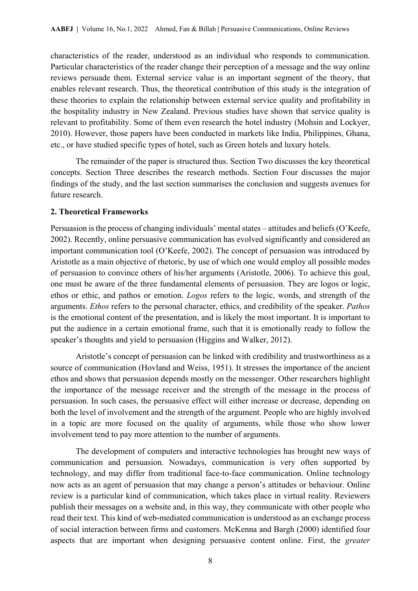characteristics of the reader, understood as an individual who responds to communication. Particular characteristics of the reader change their perception of a message and the way online reviews persuade them. External service value is an important segment of the theory, that enables relevant research. Thus, the theoretical contribution of this study is the integration of these theories to explain the relationship between external service quality and profitability in the hospitality industry in New Zealand. Previous studies have shown that service quality is relevant to profitability. Some of them even research the hotel industry (Mohsin and Lockyer, 2010). However, those papers have been conducted in markets like India, Philippines, Ghana, etc., or have studied specific types of hotel, such as Green hotels and luxury hotels.

The remainder of the paper is structured thus. Section Two discusses the key theoretical concepts. Section Three describes the research methods. Section Four discusses the major findings of the study, and the last section summarises the conclusion and suggests avenues for future research.

#### **2. Theoretical Frameworks**

Persuasion is the process of changing individuals' mental states – attitudes and beliefs (O'Keefe, 2002). Recently, online persuasive communication has evolved significantly and considered an important communication tool (O'Keefe, 2002). The concept of persuasion was introduced by Aristotle as a main objective of rhetoric, by use of which one would employ all possible modes of persuasion to convince others of his/her arguments (Aristotle, 2006). To achieve this goal, one must be aware of the three fundamental elements of persuasion. They are logos or logic, ethos or ethic, and pathos or emotion. *Logos* refers to the logic, words, and strength of the arguments. *Ethos* refers to the personal character, ethics, and credibility of the speaker. *Pathos* is the emotional content of the presentation, and is likely the most important. It is important to put the audience in a certain emotional frame, such that it is emotionally ready to follow the speaker's thoughts and yield to persuasion (Higgins and Walker, 2012).

Aristotle's concept of persuasion can be linked with credibility and trustworthiness as a source of communication (Hovland and Weiss, 1951). It stresses the importance of the ancient ethos and shows that persuasion depends mostly on the messenger. Other researchers highlight the importance of the message receiver and the strength of the message in the process of persuasion. In such cases, the persuasive effect will either increase or decrease, depending on both the level of involvement and the strength of the argument. People who are highly involved in a topic are more focused on the quality of arguments, while those who show lower involvement tend to pay more attention to the number of arguments.

The development of computers and interactive technologies has brought new ways of communication and persuasion. Nowadays, communication is very often supported by technology, and may differ from traditional face-to-face communication. Online technology now acts as an agent of persuasion that may change a person's attitudes or behaviour. Online review is a particular kind of communication, which takes place in virtual reality. Reviewers publish their messages on a website and, in this way, they communicate with other people who read their text. This kind of web-mediated communication is understood as an exchange process of social interaction between firms and customers. McKenna and Bargh (2000) identified four aspects that are important when designing persuasive content online. First, the *greater*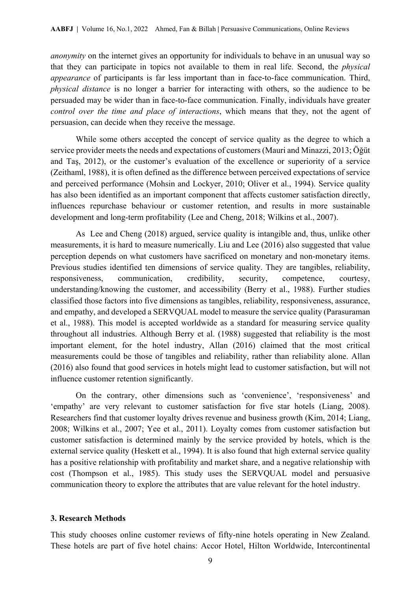*anonymity* on the internet gives an opportunity for individuals to behave in an unusual way so that they can participate in topics not available to them in real life. Second, the *physical appearance* of participants is far less important than in face-to-face communication. Third, *physical distance* is no longer a barrier for interacting with others, so the audience to be persuaded may be wider than in face-to-face communication. Finally, individuals have greater *control over the time and place of interactions*, which means that they, not the agent of persuasion, can decide when they receive the message.

While some others accepted the concept of service quality as the degree to which a service provider meets the needs and expectations of customers (Mauri and Minazzi, 2013; Öğüt and Taş, 2012), or the customer's evaluation of the excellence or superiority of a service (Zeithaml, 1988), it is often defined as the difference between perceived expectations of service and perceived performance (Mohsin and Lockyer, 2010; Oliver et al., 1994). Service quality has also been identified as an important component that affects customer satisfaction directly, influences repurchase behaviour or customer retention, and results in more sustainable development and long-term profitability (Lee and Cheng, 2018; Wilkins et al., 2007).

 As Lee and Cheng (2018) argued, service quality is intangible and, thus, unlike other measurements, it is hard to measure numerically. Liu and Lee (2016) also suggested that value perception depends on what customers have sacrificed on monetary and non-monetary items. Previous studies identified ten dimensions of service quality. They are tangibles, reliability, responsiveness, communication, credibility, security, competence, courtesy, understanding/knowing the customer, and accessibility (Berry et al., 1988). Further studies classified those factors into five dimensions as tangibles, reliability, responsiveness, assurance, and empathy, and developed a SERVQUAL model to measure the service quality (Parasuraman et al., 1988). This model is accepted worldwide as a standard for measuring service quality throughout all industries. Although Berry et al. (1988) suggested that reliability is the most important element, for the hotel industry, Allan (2016) claimed that the most critical measurements could be those of tangibles and reliability, rather than reliability alone. Allan (2016) also found that good services in hotels might lead to customer satisfaction, but will not influence customer retention significantly.

On the contrary, other dimensions such as 'convenience', 'responsiveness' and 'empathy' are very relevant to customer satisfaction for five star hotels (Liang, 2008). Researchers find that customer loyalty drives revenue and business growth (Kim, 2014; Liang, 2008; Wilkins et al., 2007; Yee et al., 2011). Loyalty comes from customer satisfaction but customer satisfaction is determined mainly by the service provided by hotels, which is the external service quality (Heskett et al., 1994). It is also found that high external service quality has a positive relationship with profitability and market share, and a negative relationship with cost (Thompson et al., 1985). This study uses the SERVQUAL model and persuasive communication theory to explore the attributes that are value relevant for the hotel industry.

#### **3. Research Methods**

This study chooses online customer reviews of fifty-nine hotels operating in New Zealand. These hotels are part of five hotel chains: Accor Hotel, Hilton Worldwide, Intercontinental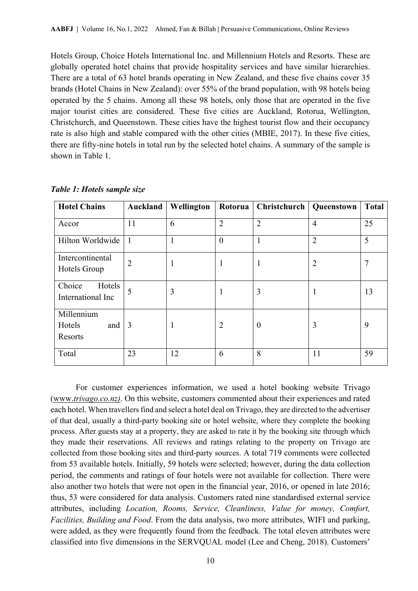Hotels Group, Choice Hotels International Inc. and Millennium Hotels and Resorts. These are globally operated hotel chains that provide hospitality services and have similar hierarchies. There are a total of 63 hotel brands operating in New Zealand, and these five chains cover 35 brands (Hotel Chains in New Zealand): over 55% of the brand population, with 98 hotels being operated by the 5 chains. Among all these 98 hotels, only those that are operated in the five major tourist cities are considered. These five cities are Auckland, Rotorua, Wellington, Christchurch, and Queenstown. These cities have the highest tourist flow and their occupancy rate is also high and stable compared with the other cities (MBIE, 2017). In these five cities, there are fifty-nine hotels in total run by the selected hotel chains. A summary of the sample is shown in Table 1.

| <b>Hotel Chains</b>                      | Auckland       | Wellington   | Rotorua        | <b>Christchurch   Queenstown</b> |                | <b>Total</b> |
|------------------------------------------|----------------|--------------|----------------|----------------------------------|----------------|--------------|
| Accor                                    | 11             | 6            | $\overline{2}$ | $\overline{2}$                   | $\overline{4}$ | 25           |
| Hilton Worldwide                         | $\mathbf{1}$   | $\mathbf{1}$ | $\overline{0}$ | $\mathbf{1}$                     | $\overline{2}$ | 5            |
| Intercontinental<br>Hotels Group         | $\overline{2}$ | 1            | 1              | 1                                | 2              | 7            |
| Choice<br>Hotels<br>International Inc    | 5              | 3            | 1              | 3                                |                | 13           |
| Millennium<br>Hotels<br>and  <br>Resorts | 3              | 1            | $\overline{2}$ | $\theta$                         | 3              | 9            |
| Total                                    | 23             | 12           | 6              | 8                                | 11             | 59           |

*Table 1: Hotels sample size* 

For customer experiences information, we used a hotel booking website Trivago (www.*trivago.co.nz)*. On this website, customers commented about their experiences and rated each hotel. When travellers find and select a hotel deal on Trivago, they are directed to the advertiser of that deal, usually a third-party booking site or hotel website, where they complete the booking process. After guests stay at a property, they are asked to rate it by the booking site through which they made their reservations. All reviews and ratings relating to the property on Trivago are collected from those booking sites and third-party sources. A total 719 comments were collected from 53 available hotels. Initially, 59 hotels were selected; however, during the data collection period, the comments and ratings of four hotels were not available for collection. There were also another two hotels that were not open in the financial year, 2016, or opened in late 2016; thus, 53 were considered for data analysis. Customers rated nine standardised external service attributes, including *Location, Rooms, Service, Cleanliness, Value for money, Comfort, Facilities, Building and Food*. From the data analysis, two more attributes, WIFI and parking, were added, as they were frequently found from the feedback. The total eleven attributes were classified into five dimensions in the SERVQUAL model (Lee and Cheng, 2018). Customers'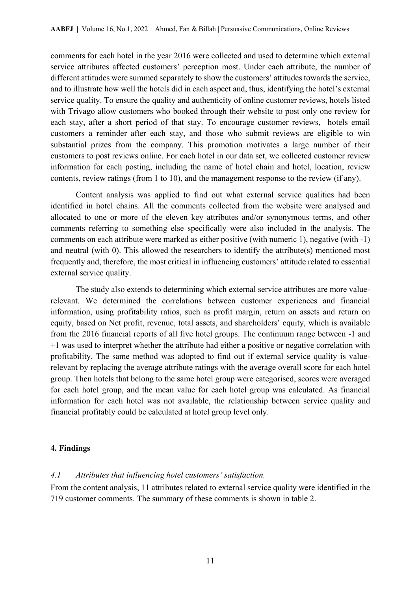comments for each hotel in the year 2016 were collected and used to determine which external service attributes affected customers' perception most. Under each attribute, the number of different attitudes were summed separately to show the customers' attitudes towards the service, and to illustrate how well the hotels did in each aspect and, thus, identifying the hotel's external service quality. To ensure the quality and authenticity of online customer reviews, hotels listed with Trivago allow customers who booked through their website to post only one review for each stay, after a short period of that stay. To encourage customer reviews, hotels email customers a reminder after each stay, and those who submit reviews are eligible to win substantial prizes from the company. This promotion motivates a large number of their customers to post reviews online. For each hotel in our data set, we collected customer review information for each posting, including the name of hotel chain and hotel, location, review contents, review ratings (from 1 to 10), and the management response to the review (if any).

Content analysis was applied to find out what external service qualities had been identified in hotel chains. All the comments collected from the website were analysed and allocated to one or more of the eleven key attributes and/or synonymous terms, and other comments referring to something else specifically were also included in the analysis. The comments on each attribute were marked as either positive (with numeric 1), negative (with -1) and neutral (with 0). This allowed the researchers to identify the attribute(s) mentioned most frequently and, therefore, the most critical in influencing customers' attitude related to essential external service quality.

The study also extends to determining which external service attributes are more valuerelevant. We determined the correlations between customer experiences and financial information, using profitability ratios, such as profit margin, return on assets and return on equity, based on Net profit, revenue, total assets, and shareholders' equity, which is available from the 2016 financial reports of all five hotel groups. The continuum range between -1 and +1 was used to interpret whether the attribute had either a positive or negative correlation with profitability. The same method was adopted to find out if external service quality is valuerelevant by replacing the average attribute ratings with the average overall score for each hotel group. Then hotels that belong to the same hotel group were categorised, scores were averaged for each hotel group, and the mean value for each hotel group was calculated. As financial information for each hotel was not available, the relationship between service quality and financial profitably could be calculated at hotel group level only.

#### **4. Findings**

#### *4.1 Attributes that influencing hotel customers' satisfaction.*

From the content analysis, 11 attributes related to external service quality were identified in the 719 customer comments. The summary of these comments is shown in table 2.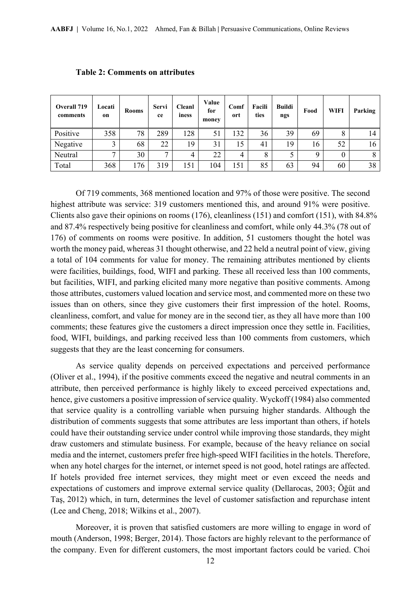| <b>Overall 719</b><br>comments | Locati<br>on | <b>Rooms</b> | <b>Servi</b><br>ce | <b>Cleanl</b><br>iness | Value<br>for<br>money | Comf<br>ort | Facili<br>ties | <b>Buildi</b><br>ngs | Food | <b>WIFI</b> | Parking |
|--------------------------------|--------------|--------------|--------------------|------------------------|-----------------------|-------------|----------------|----------------------|------|-------------|---------|
| Positive                       | 358          | 78           | 289                | 28                     | 51                    | 132         | 36             | 39                   | 69   | 8           | 14      |
| Negative                       | 3            | 68           | 22                 | 19                     | 31                    | 15          | 41             | 19                   | 16   | 52          | 16      |
| Neutral                        | $\mathbf{r}$ | 30           | ⇁                  | 4                      | 22                    | 4           | 8              |                      | Q    | $\theta$    |         |
| Total                          | 368          | 176          | 319                | 151                    | 104                   | 151         | 85             | 63                   | 94   | 60          | 38      |

#### **Table 2: Comments on attributes**

Of 719 comments, 368 mentioned location and 97% of those were positive. The second highest attribute was service: 319 customers mentioned this, and around 91% were positive. Clients also gave their opinions on rooms (176), cleanliness (151) and comfort (151), with 84.8% and 87.4% respectively being positive for cleanliness and comfort, while only 44.3% (78 out of 176) of comments on rooms were positive. In addition, 51 customers thought the hotel was worth the money paid, whereas 31 thought otherwise, and 22 held a neutral point of view, giving a total of 104 comments for value for money. The remaining attributes mentioned by clients were facilities, buildings, food, WIFI and parking. These all received less than 100 comments, but facilities, WIFI, and parking elicited many more negative than positive comments. Among those attributes, customers valued location and service most, and commented more on these two issues than on others, since they give customers their first impression of the hotel. Rooms, cleanliness, comfort, and value for money are in the second tier, as they all have more than 100 comments; these features give the customers a direct impression once they settle in. Facilities, food, WIFI, buildings, and parking received less than 100 comments from customers, which suggests that they are the least concerning for consumers.

As service quality depends on perceived expectations and perceived performance (Oliver et al., 1994), if the positive comments exceed the negative and neutral comments in an attribute, then perceived performance is highly likely to exceed perceived expectations and, hence, give customers a positive impression of service quality. Wyckoff (1984) also commented that service quality is a controlling variable when pursuing higher standards. Although the distribution of comments suggests that some attributes are less important than others, if hotels could have their outstanding service under control while improving those standards, they might draw customers and stimulate business. For example, because of the heavy reliance on social media and the internet, customers prefer free high-speed WIFI facilities in the hotels. Therefore, when any hotel charges for the internet, or internet speed is not good, hotel ratings are affected. If hotels provided free internet services, they might meet or even exceed the needs and expectations of customers and improve external service quality (Dellarocas, 2003; Öğüt and Taş, 2012) which, in turn, determines the level of customer satisfaction and repurchase intent (Lee and Cheng, 2018; Wilkins et al., 2007).

Moreover, it is proven that satisfied customers are more willing to engage in word of mouth (Anderson, 1998; Berger, 2014). Those factors are highly relevant to the performance of the company. Even for different customers, the most important factors could be varied. Choi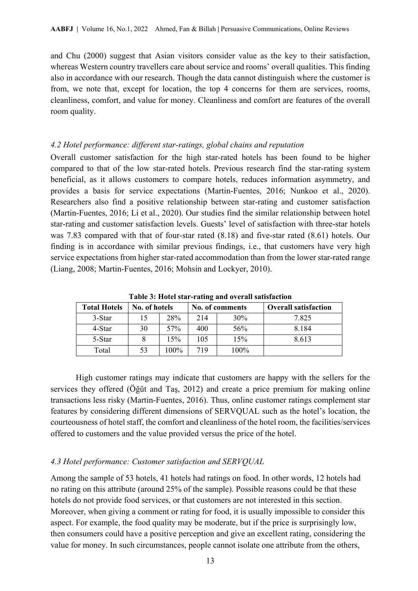and Chu (2000) suggest that Asian visitors consider value as the key to their satisfaction, whereas Western country travellers care about service and rooms' overall qualities. This finding also in accordance with our research. Though the data cannot distinguish where the customer is from, we note that, except for location, the top 4 concerns for them are services, rooms, cleanliness, comfort, and value for money. Cleanliness and comfort are features of the overall room quality.

#### *4.2 Hotel performance: different star-ratings, global chains and reputation*

Overall customer satisfaction for the high star-rated hotels has been found to be higher compared to that of the low star-rated hotels. Previous research find the star-rating system beneficial, as it allows customers to compare hotels, reduces information asymmetry, and provides a basis for service expectations (Martin-Fuentes, 2016; Nunkoo et al., 2020). Researchers also find a positive relationship between star-rating and customer satisfaction (Martin-Fuentes, 2016; Li et al., 2020). Our studies find the similar relationship between hotel star-rating and customer satisfaction levels. Guests' level of satisfaction with three-star hotels was 7.83 compared with that of four-star rated (8.18) and five-star rated (8.61) hotels. Our finding is in accordance with similar previous findings, i.e., that customers have very high service expectations from higher star-rated accommodation than from the lower star-rated range (Liang, 2008; Martin-Fuentes, 2016; Mohsin and Lockyer, 2010).

| <b>Total Hotels</b> | No. of hotels |      |     | No. of comments | <b>Overall satisfaction</b> |
|---------------------|---------------|------|-----|-----------------|-----------------------------|
| 3-Star              | 15            | 28%  | 214 | 30%             | 7.825                       |
| 4-Star              | 30            | 57%  | 400 | 56%             | 8.184                       |
| 5-Star              |               | 15%  | 105 | 15%             | 8.613                       |
| Total               |               | 100% | 719 | $100\%$         |                             |

**Table 3: Hotel star-rating and overall satisfaction** 

High customer ratings may indicate that customers are happy with the sellers for the services they offered (Öğüt and Taş, 2012) and create a price premium for making online transactions less risky (Martin-Fuentes, 2016). Thus, online customer ratings complement star features by considering different dimensions of SERVQUAL such as the hotel's location, the courteousness of hotel staff, the comfort and cleanliness of the hotel room, the facilities/services offered to customers and the value provided versus the price of the hotel.

### *4.3 Hotel performance: Customer satisfaction and SERVQUAL*

Among the sample of 53 hotels, 41 hotels had ratings on food. In other words, 12 hotels had no rating on this attribute (around 25% of the sample). Possible reasons could be that these hotels do not provide food services, or that customers are not interested in this section. Moreover, when giving a comment or rating for food, it is usually impossible to consider this aspect. For example, the food quality may be moderate, but if the price is surprisingly low, then consumers could have a positive perception and give an excellent rating, considering the value for money. In such circumstances, people cannot isolate one attribute from the others,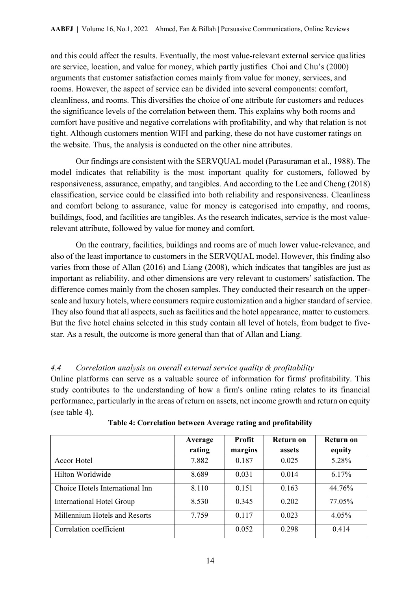and this could affect the results. Eventually, the most value-relevant external service qualities are service, location, and value for money, which partly justifies Choi and Chu's (2000) arguments that customer satisfaction comes mainly from value for money, services, and rooms. However, the aspect of service can be divided into several components: comfort, cleanliness, and rooms. This diversifies the choice of one attribute for customers and reduces the significance levels of the correlation between them. This explains why both rooms and comfort have positive and negative correlations with profitability, and why that relation is not tight. Although customers mention WIFI and parking, these do not have customer ratings on the website. Thus, the analysis is conducted on the other nine attributes.

Our findings are consistent with the SERVQUAL model (Parasuraman et al., 1988). The model indicates that reliability is the most important quality for customers, followed by responsiveness, assurance, empathy, and tangibles. And according to the Lee and Cheng (2018) classification, service could be classified into both reliability and responsiveness. Cleanliness and comfort belong to assurance, value for money is categorised into empathy, and rooms, buildings, food, and facilities are tangibles. As the research indicates, service is the most valuerelevant attribute, followed by value for money and comfort.

On the contrary, facilities, buildings and rooms are of much lower value-relevance, and also of the least importance to customers in the SERVQUAL model. However, this finding also varies from those of Allan (2016) and Liang (2008), which indicates that tangibles are just as important as reliability, and other dimensions are very relevant to customers' satisfaction. The difference comes mainly from the chosen samples. They conducted their research on the upperscale and luxury hotels, where consumers require customization and a higher standard of service. They also found that all aspects, such as facilities and the hotel appearance, matter to customers. But the five hotel chains selected in this study contain all level of hotels, from budget to fivestar. As a result, the outcome is more general than that of Allan and Liang.

# *4.4 Correlation analysis on overall external service quality & profitability*

Online platforms can serve as a valuable source of information for firms' profitability. This study contributes to the understanding of how a firm's online rating relates to its financial performance, particularly in the areas of return on assets, net income growth and return on equity (see table 4).

|                                  | Average<br>rating | Profit<br>margins | Return on<br>assets | Return on<br>equity |
|----------------------------------|-------------------|-------------------|---------------------|---------------------|
|                                  |                   |                   |                     |                     |
| Accor Hotel                      | 7.882             | 0.187             | 0.025               | 5.28%               |
| Hilton Worldwide                 | 8.689             | 0.031             | 0.014               | 6.17%               |
| Choice Hotels International Inn  | 8.110             | 0.151             | 0.163               | 44.76%              |
| <b>International Hotel Group</b> | 8.530             | 0.345             | 0.202               | 77.05%              |
| Millennium Hotels and Resorts    | 7.759             | 0.117             | 0.023               | 4.05%               |
| Correlation coefficient          |                   | 0.052             | 0.298               | 0.414               |

| Table 4: Correlation between Average rating and profitability |  |
|---------------------------------------------------------------|--|
|                                                               |  |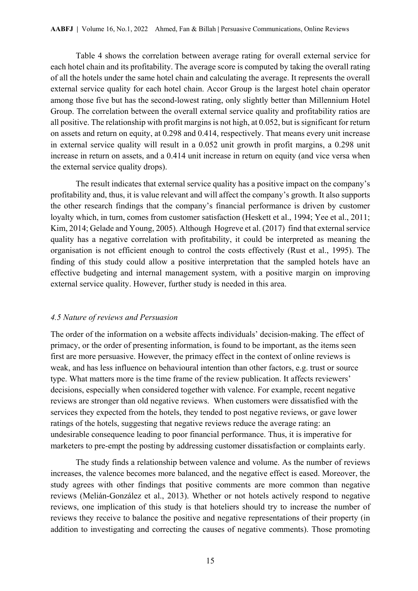Table 4 shows the correlation between average rating for overall external service for each hotel chain and its profitability. The average score is computed by taking the overall rating of all the hotels under the same hotel chain and calculating the average. It represents the overall external service quality for each hotel chain. Accor Group is the largest hotel chain operator among those five but has the second-lowest rating, only slightly better than Millennium Hotel Group. The correlation between the overall external service quality and profitability ratios are all positive. The relationship with profit margins is not high, at 0.052, but is significant for return on assets and return on equity, at 0.298 and 0.414, respectively. That means every unit increase in external service quality will result in a 0.052 unit growth in profit margins, a 0.298 unit increase in return on assets, and a 0.414 unit increase in return on equity (and vice versa when the external service quality drops).

The result indicates that external service quality has a positive impact on the company's profitability and, thus, it is value relevant and will affect the company's growth. It also supports the other research findings that the company's financial performance is driven by customer loyalty which, in turn, comes from customer satisfaction (Heskett et al., 1994; Yee et al., 2011; Kim, 2014; Gelade and Young, 2005). Although Hogreve et al. (2017) find that external service quality has a negative correlation with profitability, it could be interpreted as meaning the organisation is not efficient enough to control the costs effectively (Rust et al., 1995). The finding of this study could allow a positive interpretation that the sampled hotels have an effective budgeting and internal management system, with a positive margin on improving external service quality. However, further study is needed in this area.

#### *4.5 Nature of reviews and Persuasion*

The order of the information on a website affects individuals' decision-making. The effect of primacy, or the order of presenting information, is found to be important, as the items seen first are more persuasive. However, the primacy effect in the context of online reviews is weak, and has less influence on behavioural intention than other factors, e.g. trust or source type. What matters more is the time frame of the review publication. It affects reviewers' decisions, especially when considered together with valence. For example, recent negative reviews are stronger than old negative reviews. When customers were dissatisfied with the services they expected from the hotels, they tended to post negative reviews, or gave lower ratings of the hotels, suggesting that negative reviews reduce the average rating: an undesirable consequence leading to poor financial performance. Thus, it is imperative for marketers to pre-empt the posting by addressing customer dissatisfaction or complaints early.

The study finds a relationship between valence and volume. As the number of reviews increases, the valence becomes more balanced, and the negative effect is eased. Moreover, the study agrees with other findings that positive comments are more common than negative reviews (Melián-González et al., 2013). Whether or not hotels actively respond to negative reviews, one implication of this study is that hoteliers should try to increase the number of reviews they receive to balance the positive and negative representations of their property (in addition to investigating and correcting the causes of negative comments). Those promoting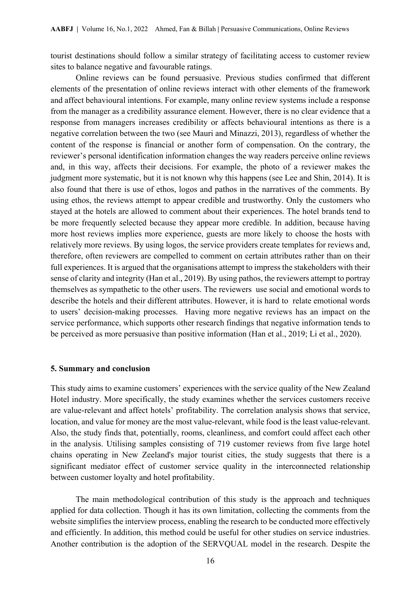tourist destinations should follow a similar strategy of facilitating access to customer review sites to balance negative and favourable ratings.

Online reviews can be found persuasive. Previous studies confirmed that different elements of the presentation of online reviews interact with other elements of the framework and affect behavioural intentions. For example, many online review systems include a response from the manager as a credibility assurance element. However, there is no clear evidence that a response from managers increases credibility or affects behavioural intentions as there is a negative correlation between the two (see Mauri and Minazzi, 2013), regardless of whether the content of the response is financial or another form of compensation. On the contrary, the reviewer's personal identification information changes the way readers perceive online reviews and, in this way, affects their decisions. For example, the photo of a reviewer makes the judgment more systematic, but it is not known why this happens (see Lee and Shin, 2014). It is also found that there is use of ethos, logos and pathos in the narratives of the comments. By using ethos, the reviews attempt to appear credible and trustworthy. Only the customers who stayed at the hotels are allowed to comment about their experiences. The hotel brands tend to be more frequently selected because they appear more credible. In addition, because having more host reviews implies more experience, guests are more likely to choose the hosts with relatively more reviews. By using logos, the service providers create templates for reviews and, therefore, often reviewers are compelled to comment on certain attributes rather than on their full experiences. It is argued that the organisations attempt to impress the stakeholders with their sense of clarity and integrity (Han et al., 2019). By using pathos, the reviewers attempt to portray themselves as sympathetic to the other users. The reviewers use social and emotional words to describe the hotels and their different attributes. However, it is hard to relate emotional words to users' decision-making processes. Having more negative reviews has an impact on the service performance, which supports other research findings that negative information tends to be perceived as more persuasive than positive information (Han et al., 2019; Li et al., 2020).

#### **5. Summary and conclusion**

This study aims to examine customers' experiences with the service quality of the New Zealand Hotel industry. More specifically, the study examines whether the services customers receive are value-relevant and affect hotels' profitability. The correlation analysis shows that service, location, and value for money are the most value-relevant, while food is the least value-relevant. Also, the study finds that, potentially, rooms, cleanliness, and comfort could affect each other in the analysis. Utilising samples consisting of 719 customer reviews from five large hotel chains operating in New Zeeland's major tourist cities, the study suggests that there is a significant mediator effect of customer service quality in the interconnected relationship between customer loyalty and hotel profitability.

The main methodological contribution of this study is the approach and techniques applied for data collection. Though it has its own limitation, collecting the comments from the website simplifies the interview process, enabling the research to be conducted more effectively and efficiently. In addition, this method could be useful for other studies on service industries. Another contribution is the adoption of the SERVQUAL model in the research. Despite the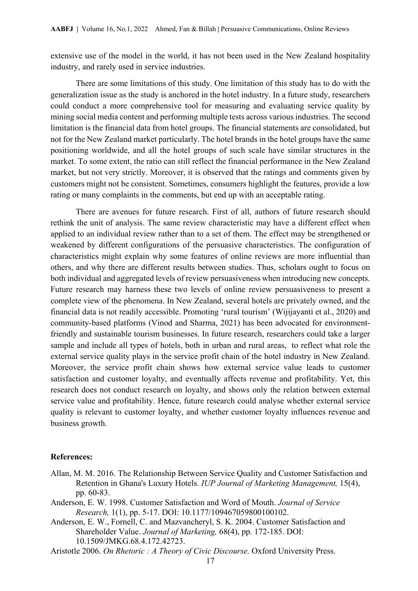extensive use of the model in the world, it has not been used in the New Zealand hospitality industry, and rarely used in service industries.

There are some limitations of this study. One limitation of this study has to do with the generalization issue as the study is anchored in the hotel industry. In a future study, researchers could conduct a more comprehensive tool for measuring and evaluating service quality by mining social media content and performing multiple tests across various industries. The second limitation is the financial data from hotel groups. The financial statements are consolidated, but not for the New Zealand market particularly. The hotel brands in the hotel groups have the same positioning worldwide, and all the hotel groups of such scale have similar structures in the market. To some extent, the ratio can still reflect the financial performance in the New Zealand market, but not very strictly. Moreover, it is observed that the ratings and comments given by customers might not be consistent. Sometimes, consumers highlight the features, provide a low rating or many complaints in the comments, but end up with an acceptable rating.

There are avenues for future research. First of all, authors of future research should rethink the unit of analysis. The same review characteristic may have a different effect when applied to an individual review rather than to a set of them. The effect may be strengthened or weakened by different configurations of the persuasive characteristics. The configuration of characteristics might explain why some features of online reviews are more influential than others, and why there are different results between studies. Thus, scholars ought to focus on both individual and aggregated levels of review persuasiveness when introducing new concepts. Future research may harness these two levels of online review persuasiveness to present a complete view of the phenomena. In New Zealand, several hotels are privately owned, and the financial data is not readily accessible. Promoting 'rural tourism' (Wijijayanti et al., 2020) and community-based platforms (Vinod and Sharma, 2021) has been advocated for environmentfriendly and sustainable tourism businesses. In future research, researchers could take a larger sample and include all types of hotels, both in urban and rural areas, to reflect what role the external service quality plays in the service profit chain of the hotel industry in New Zealand. Moreover, the service profit chain shows how external service value leads to customer satisfaction and customer loyalty, and eventually affects revenue and profitability. Yet, this research does not conduct research on loyalty, and shows only the relation between external service value and profitability. Hence, future research could analyse whether external service quality is relevant to customer loyalty, and whether customer loyalty influences revenue and business growth.

#### **References:**

- Allan, M. M. 2016. The Relationship Between Service Quality and Customer Satisfaction and Retention in Ghana's Luxury Hotels. *IUP Journal of Marketing Management,* 15(4), pp. 60-83.
- Anderson, E. W. 1998. Customer Satisfaction and Word of Mouth. *Journal of Service Research,* 1(1), pp. 5-17. DOI: 10.1177/109467059800100102.
- Anderson, E. W., Fornell, C. and Mazvancheryl, S. K. 2004. Customer Satisfaction and Shareholder Value. *Journal of Marketing,* 68(4), pp. 172-185. DOI: 10.1509/JMKG.68.4.172.42723.
- Aristotle 2006. *On Rhetoric : A Theory of Civic Discourse.* Oxford University Press.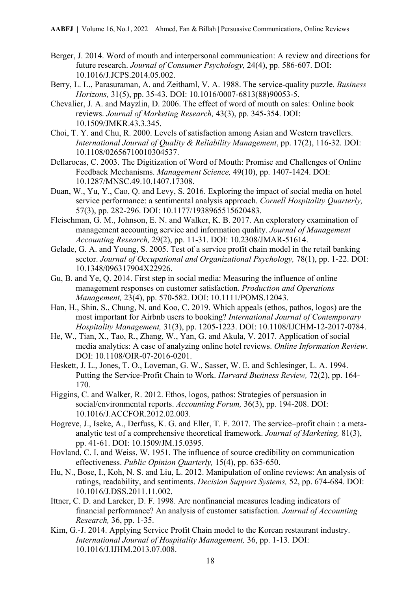- Berger, J. 2014. Word of mouth and interpersonal communication: A review and directions for future research. *Journal of Consumer Psychology,* 24(4), pp. 586-607. DOI: 10.1016/J.JCPS.2014.05.002.
- Berry, L. L., Parasuraman, A. and Zeithaml, V. A. 1988. The service-quality puzzle. *Business Horizons,* 31(5), pp. 35-43. DOI: 10.1016/0007-6813(88)90053-5.
- Chevalier, J. A. and Mayzlin, D. 2006. The effect of word of mouth on sales: Online book reviews. *Journal of Marketing Research,* 43(3), pp. 345-354. DOI: 10.1509/JMKR.43.3.345.
- Choi, T. Y. and Chu, R. 2000. Levels of satisfaction among Asian and Western travellers. *International Journal of Quality & Reliability Management*, pp. 17(2), 116-32. DOI: 10.1108/02656710010304537.
- Dellarocas, C. 2003. The Digitization of Word of Mouth: Promise and Challenges of Online Feedback Mechanisms. *Management Science,* 49(10), pp. 1407-1424. DOI: 10.1287/MNSC.49.10.1407.17308.
- Duan, W., Yu, Y., Cao, Q. and Levy, S. 2016. Exploring the impact of social media on hotel service performance: a sentimental analysis approach. *Cornell Hospitality Quarterly,* 57(3), pp. 282-296. DOI: 10.1177/1938965515620483.
- Fleischman, G. M., Johnson, E. N. and Walker, K. B. 2017. An exploratory examination of management accounting service and information quality. *Journal of Management Accounting Research,* 29(2), pp. 11-31. DOI: 10.2308/JMAR-51614.
- Gelade, G. A. and Young, S. 2005. Test of a service profit chain model in the retail banking sector. *Journal of Occupational and Organizational Psychology,* 78(1), pp. 1-22. DOI: 10.1348/096317904X22926.
- Gu, B. and Ye, Q. 2014. First step in social media: Measuring the influence of online management responses on customer satisfaction. *Production and Operations Management,* 23(4), pp. 570-582. DOI: 10.1111/POMS.12043.
- Han, H., Shin, S., Chung, N. and Koo, C. 2019. Which appeals (ethos, pathos, logos) are the most important for Airbnb users to booking? *International Journal of Contemporary Hospitality Management,* 31(3), pp. 1205-1223. DOI: 10.1108/IJCHM-12-2017-0784.
- He, W., Tian, X., Tao, R., Zhang, W., Yan, G. and Akula, V. 2017. Application of social media analytics: A case of analyzing online hotel reviews. *Online Information Review*. DOI: 10.1108/OIR-07-2016-0201.
- Heskett, J. L., Jones, T. O., Loveman, G. W., Sasser, W. E. and Schlesinger, L. A. 1994. Putting the Service-Profit Chain to Work. *Harvard Business Review,* 72(2), pp. 164- 170.
- Higgins, C. and Walker, R. 2012. Ethos, logos, pathos: Strategies of persuasion in social/environmental reports. *Accounting Forum,* 36(3), pp. 194-208. DOI: 10.1016/J.ACCFOR.2012.02.003.
- Hogreve, J., Iseke, A., Derfuss, K. G. and Eller, T. F. 2017. The service–profit chain : a metaanalytic test of a comprehensive theoretical framework. *Journal of Marketing,* 81(3), pp. 41-61. DOI: 10.1509/JM.15.0395.
- Hovland, C. I. and Weiss, W. 1951. The influence of source credibility on communication effectiveness. *Public Opinion Quarterly,* 15(4), pp. 635-650.
- Hu, N., Bose, I., Koh, N. S. and Liu, L. 2012. Manipulation of online reviews: An analysis of ratings, readability, and sentiments. *Decision Support Systems,* 52, pp. 674-684. DOI: 10.1016/J.DSS.2011.11.002.
- Ittner, C. D. and Larcker, D. F. 1998. Are nonfinancial measures leading indicators of financial performance? An analysis of customer satisfaction. *Journal of Accounting Research,* 36, pp. 1-35.
- Kim, G.-J. 2014. Applying Service Profit Chain model to the Korean restaurant industry. *International Journal of Hospitality Management,* 36, pp. 1-13. DOI: 10.1016/J.IJHM.2013.07.008.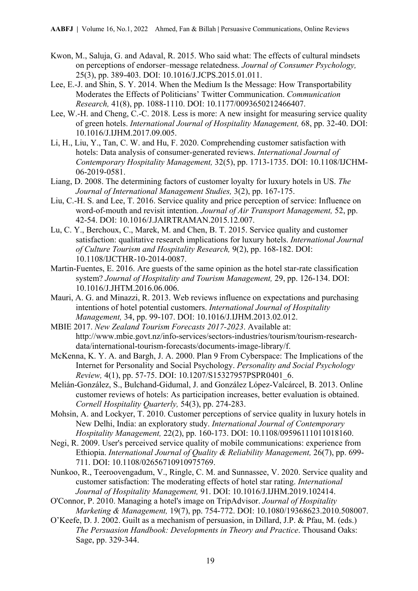- Kwon, M., Saluja, G. and Adaval, R. 2015. Who said what: The effects of cultural mindsets on perceptions of endorser–message relatedness. *Journal of Consumer Psychology,* 25(3), pp. 389-403. DOI: 10.1016/J.JCPS.2015.01.011.
- Lee, E.-J. and Shin, S. Y. 2014. When the Medium Is the Message: How Transportability Moderates the Effects of Politicians' Twitter Communication. *Communication Research,* 41(8), pp. 1088-1110. DOI: 10.1177/0093650212466407.
- Lee, W.-H. and Cheng, C.-C. 2018. Less is more: A new insight for measuring service quality of green hotels. *International Journal of Hospitality Management,* 68, pp. 32-40. DOI: 10.1016/J.IJHM.2017.09.005.
- Li, H., Liu, Y., Tan, C. W. and Hu, F. 2020. Comprehending customer satisfaction with hotels: Data analysis of consumer-generated reviews. *International Journal of Contemporary Hospitality Management,* 32(5), pp. 1713-1735. DOI: 10.1108/IJCHM-06-2019-0581.
- Liang, D. 2008. The determining factors of customer loyalty for luxury hotels in US. *The Journal of International Management Studies,* 3(2), pp. 167-175.
- Liu, C.-H. S. and Lee, T. 2016. Service quality and price perception of service: Influence on word-of-mouth and revisit intention. *Journal of Air Transport Management,* 52, pp. 42-54. DOI: 10.1016/J.JAIRTRAMAN.2015.12.007.
- Lu, C. Y., Berchoux, C., Marek, M. and Chen, B. T. 2015. Service quality and customer satisfaction: qualitative research implications for luxury hotels. *International Journal of Culture Tourism and Hospitality Research,* 9(2), pp. 168-182. DOI: 10.1108/IJCTHR-10-2014-0087.
- Martin-Fuentes, E. 2016. Are guests of the same opinion as the hotel star-rate classification system? *Journal of Hospitality and Tourism Management,* 29, pp. 126-134. DOI: 10.1016/J.JHTM.2016.06.006.
- Mauri, A. G. and Minazzi, R. 2013. Web reviews influence on expectations and purchasing intentions of hotel potential customers. *International Journal of Hospitality Management,* 34, pp. 99-107. DOI: 10.1016/J.IJHM.2013.02.012.
- MBIE 2017. *New Zealand Tourism Forecasts 2017-2023*. Available at: http://www.mbie.govt.nz/info-services/sectors-industries/tourism/tourism-researchdata/international-tourism-forecasts/documents-image-library/f.
- McKenna, K. Y. A. and Bargh, J. A. 2000. Plan 9 From Cyberspace: The Implications of the Internet for Personality and Social Psychology. *Personality and Social Psychology Review,* 4(1), pp. 57-75. DOI: 10.1207/S15327957PSPR0401\_6.
- Melián-González, S., Bulchand-Gidumal, J. and González López-Valcárcel, B. 2013. Online customer reviews of hotels: As participation increases, better evaluation is obtained. *Cornell Hospitality Quarterly,* 54(3), pp. 274-283.
- Mohsin, A. and Lockyer, T. 2010. Customer perceptions of service quality in luxury hotels in New Delhi, India: an exploratory study. *International Journal of Contemporary Hospitality Management,* 22(2), pp. 160-173. DOI: 10.1108/09596111011018160.
- Negi, R. 2009. User's perceived service quality of mobile communications: experience from Ethiopia. *International Journal of Quality & Reliability Management,* 26(7), pp. 699- 711. DOI: 10.1108/02656710910975769.
- Nunkoo, R., Teeroovengadum, V., Ringle, C. M. and Sunnassee, V. 2020. Service quality and customer satisfaction: The moderating effects of hotel star rating. *International Journal of Hospitality Management,* 91. DOI: 10.1016/J.IJHM.2019.102414.
- O'Connor, P. 2010. Managing a hotel's image on TripAdvisor. *Journal of Hospitality Marketing & Management,* 19(7), pp. 754-772. DOI: 10.1080/19368623.2010.508007.
- O'Keefe, D. J. 2002. Guilt as a mechanism of persuasion, in Dillard, J.P. & Pfau, M. (eds.) *The Persuasion Handbook: Developments in Theory and Practice*. Thousand Oaks: Sage, pp. 329-344.